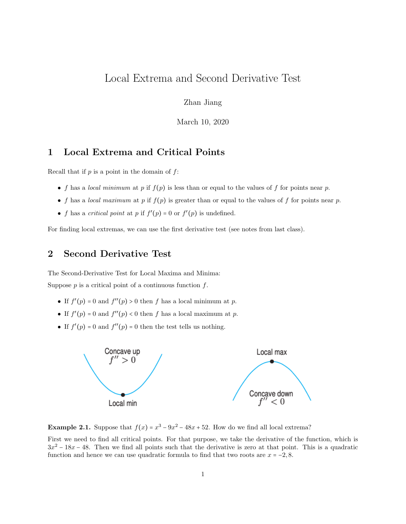# Local Extrema and Second Derivative Test

Zhan Jiang

March 10, 2020

### 1 Local Extrema and Critical Points

Recall that if  $p$  is a point in the domain of  $f$ :

- f has a local minimum at p if  $f(p)$  is less than or equal to the values of f for points near p.
- f has a local maximum at p if  $f(p)$  is greater than or equal to the values of f for points near p.
- f has a critical point at p if  $f'(p) = 0$  or  $f'(p)$  is undefined.

For finding local extremas, we can use the first derivative test (see notes from last class).

### 2 Second Derivative Test

The Second-Derivative Test for Local Maxima and Minima: Suppose  $p$  is a critical point of a continuous function  $f$ .

- If  $f'(p) = 0$  and  $f''(p) > 0$  then f has a local minimum at p.
- If  $f'(p) = 0$  and  $f''(p) < 0$  then f has a local maximum at p.
- If  $f'(p) = 0$  and  $f''(p) = 0$  then the test tells us nothing.



**Example 2.1.** Suppose that  $f(x) = x^3 - 9x^2 - 48x + 52$ . How do we find all local extrema?

First we need to find all critical points. For that purpose, we take the derivative of the function, which is  $3x^2 - 18x - 48$ . Then we find all points such that the derivative is zero at that point. This is a quadratic function and hence we can use quadratic formula to find that two roots are  $x = -2, 8$ .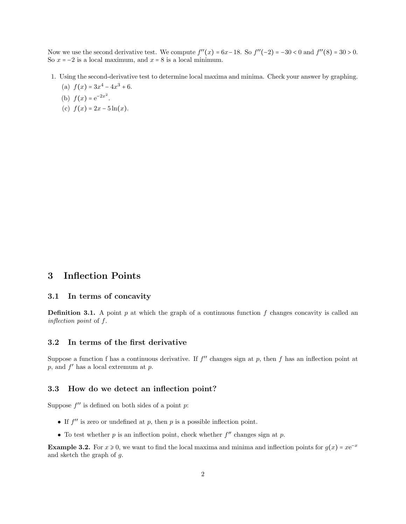Now we use the second derivative test. We compute  $f''(x) = 6x-18$ . So  $f''(-2) = -30 < 0$  and  $f''(8) = 30 > 0$ . So  $x = -2$  is a local maximum, and  $x = 8$  is a local minimum.

- 1. Using the second-derivative test to determine local maxima and minima. Check your answer by graphing.
	- (a)  $f(x) = 3x^4 4x^3 + 6$ .
	- (b)  $f(x) = e^{-2x^2}$ .
	- (c)  $f(x) = 2x 5\ln(x)$ .

## 3 Inflection Points

#### 3.1 In terms of concavity

**Definition 3.1.** A point p at which the graph of a continuous function f changes concavity is called an inflection point of f.

#### 3.2 In terms of the first derivative

Suppose a function f has a continuous derivative. If  $f''$  changes sign at p, then f has an inflection point at  $p$ , and  $f'$  has a local extremum at  $p$ .

### 3.3 How do we detect an inflection point?

Suppose  $f''$  is defined on both sides of a point  $p$ :

- If  $f''$  is zero or undefined at p, then p is a possible inflection point.
- To test whether  $p$  is an inflection point, check whether  $f''$  changes sign at  $p$ .

**Example 3.2.** For  $x \ge 0$ , we want to find the local maxima and minima and inflection points for  $g(x) = xe^{-x}$ and sketch the graph of  $g$ .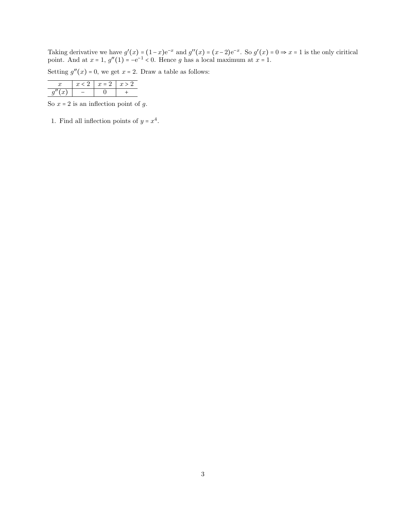Taking derivative we have  $g'(x) = (1-x)e^{-x}$  and  $g''(x) = (x-2)e^{-x}$ . So  $g'(x) = 0 \Rightarrow x = 1$  is the only ciritical point. And at  $x = 1$ ,  $g''(1) = -e^{-1} < 0$ . Hence g has a local maximum at  $x = 1$ .

Setting  $g''(x) = 0$ , we get  $x = 2$ . Draw a table as follows:

| < 2. | $x = 2$ |  |  |
|------|---------|--|--|
|      |         |  |  |

So  $x = 2$  is an inflection point of  $g$ .

1. Find all inflection points of  $y = x^4$ .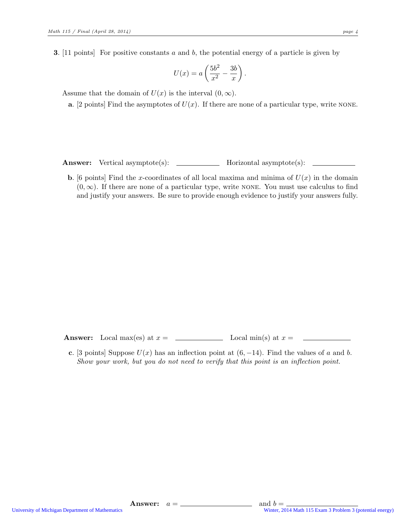**3.** [11 points] For positive constants  $a$  and  $b$ , the potential energy of a particle is given by

$$
U(x) = a \left(\frac{5b^2}{x^2} - \frac{3b}{x}\right).
$$

Assume that the domain of  $U(x)$  is the interval  $(0, \infty)$ .

**a.** [2 points] Find the asymptotes of  $U(x)$ . If there are none of a particular type, write NONE.

Answer: Vertical asymptote(s): \_\_\_\_\_\_\_\_\_\_\_\_\_ Horizontal asymptote(s): \_\_\_\_\_\_\_\_\_\_

**b.** [6 points] Find the x-coordinates of all local maxima and minima of  $U(x)$  in the domain  $(0, \infty)$ . If there are none of a particular type, write NONE. You must use calculus to find and justify your answers. Be sure to provide enough evidence to justify your answers fully.

Answer: Local max(es) at x = Local min(s) at x =

c. [3 points] Suppose  $U(x)$  has an inflection point at  $(6, -14)$ . Find the values of a and b. Show your work, but you do not need to verify that this point is an inflection point.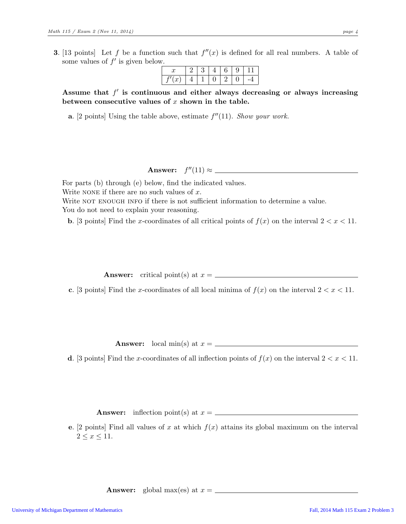**3.** [13 points] Let f be a function such that  $f''(x)$  is defined for all real numbers. A table of some values of  $f'$  is given below.

| u                     |  |  | е |  |
|-----------------------|--|--|---|--|
| $\boldsymbol{\omega}$ |  |  |   |  |

Assume that  $f'$  is continuous and either always decreasing or always increasing between consecutive values of  $x$  shown in the table.

**a.** [2 points] Using the table above, estimate  $f''(11)$ . Show your work.

## Answer:  $f''(11) \approx$

For parts (b) through (e) below, find the indicated values. Write NONE if there are no such values of  $x$ . Write NOT ENOUGH INFO if there is not sufficient information to determine a value. You do not need to explain your reasoning.

**b.** [3 points] Find the x-coordinates of all critical points of  $f(x)$  on the interval  $2 < x < 11$ .

Answer: critical point(s) at x =

c. [3 points] Find the x-coordinates of all local minima of  $f(x)$  on the interval  $2 < x < 11$ .

Answer: local min(s) at  $x = \_$ 

d. [3 points] Find the x-coordinates of all inflection points of  $f(x)$  on the interval  $2 < x < 11$ .

Answer: inflection point(s) at x =

e. [2 points] Find all values of x at which  $f(x)$  attains its global maximum on the interval  $2 \leq x \leq 11$ .

**Answer:** global max(es) at  $x = \_$